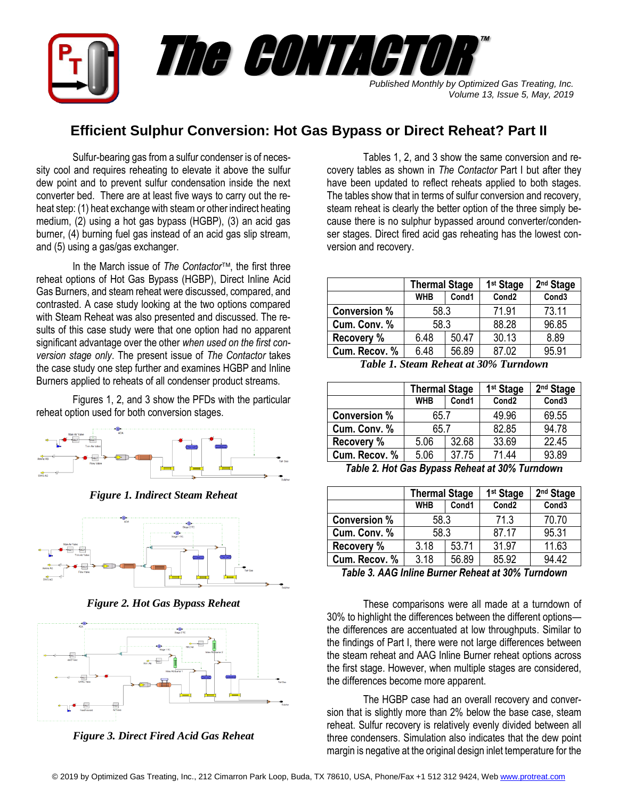

## **Efficient Sulphur Conversion: Hot Gas Bypass or Direct Reheat? Part II**

Sulfur-bearing gas from a sulfur condenser is of necessity cool and requires reheating to elevate it above the sulfur dew point and to prevent sulfur condensation inside the next converter bed. There are at least five ways to carry out the reheat step: (1) heat exchange with steam or other indirect heating medium, (2) using a hot gas bypass (HGBP), (3) an acid gas burner, (4) burning fuel gas instead of an acid gas slip stream, and (5) using a gas/gas exchanger.

In the March issue of *The Contactor*, the first three reheat options of Hot Gas Bypass (HGBP), Direct Inline Acid Gas Burners, and steam reheat were discussed, compared, and contrasted. A case study looking at the two options compared with Steam Reheat was also presented and discussed. The results of this case study were that one option had no apparent significant advantage over the other *when used on the first conversion stage only*. The present issue of *The Contactor* takes the case study one step further and examines HGBP and Inline Burners applied to reheats of all condenser product streams.

Figures 1, 2, and 3 show the PFDs with the particular reheat option used for both conversion stages.



*Figure 1. Indirect Steam Reheat*



*Figure 2. Hot Gas Bypass Reheat*



*Figure 3. Direct Fired Acid Gas Reheat*

Tables 1, 2, and 3 show the same conversion and recovery tables as shown in *The Contactor* Part I but after they have been updated to reflect reheats applied to both stages. The tables show that in terms of sulfur conversion and recovery, steam reheat is clearly the better option of the three simply because there is no sulphur bypassed around converter/condenser stages. Direct fired acid gas reheating has the lowest conversion and recovery.

|                     | <b>Thermal Stage</b> |       | 1 <sup>st</sup> Stage | 2 <sup>nd</sup> Stage |
|---------------------|----------------------|-------|-----------------------|-----------------------|
|                     | <b>WHB</b>           | Cond1 | Cond <sub>2</sub>     | Cond <sub>3</sub>     |
| <b>Conversion %</b> | 58.3                 |       | 71.91                 | 73.11                 |
| Cum. Conv. %        | 58.3                 |       | 88.28                 | 96.85                 |
| <b>Recovery %</b>   | 6.48                 | 50.47 | 30.13                 | 8.89                  |
| Cum. Recov. %       | 6.48                 | 56.89 | 87.02                 | 95.91                 |

*Table 1. Steam Reheat at 30% Turndown*

| <b>Thermal Stage</b> |       | 1 <sup>st</sup> Stage | 2 <sup>nd</sup> Stage |
|----------------------|-------|-----------------------|-----------------------|
| <b>WHB</b>           | Cond1 | Cond <sub>2</sub>     | Cond <sub>3</sub>     |
| 65.7                 |       | 49.96                 | 69.55                 |
| 65.7                 |       | 82.85                 | 94.78                 |
| 5.06                 | 32.68 | 33.69                 | 22.45                 |
| 5.06                 | 37.75 | 71.44                 | 93.89                 |
|                      |       |                       |                       |

*Table 2. Hot Gas Bypass Reheat at 30% Turndown*

|                     | <b>Thermal Stage</b> |       | 1 <sup>st</sup> Stage | 2 <sup>nd</sup> Stage |
|---------------------|----------------------|-------|-----------------------|-----------------------|
|                     | <b>WHB</b>           | Cond1 | Cond <sub>2</sub>     | Cond <sub>3</sub>     |
| <b>Conversion %</b> | 58.3                 |       | 71.3                  | 70.70                 |
| Cum. Conv. %        | 58.3                 |       | 87.17                 | 95.31                 |
| Recovery %          | 3.18                 | 53.71 | 31.97                 | 11.63                 |
| Cum. Recov. %       | 3.18                 | 56.89 | 85.92                 | 94.42                 |

*Table 3. AAG Inline Burner Reheat at 30% Turndown*

These comparisons were all made at a turndown of 30% to highlight the differences between the different options the differences are accentuated at low throughputs. Similar to the findings of Part I, there were not large differences between the steam reheat and AAG Inline Burner reheat options across the first stage. However, when multiple stages are considered, the differences become more apparent.

The HGBP case had an overall recovery and conversion that is slightly more than 2% below the base case, steam reheat. Sulfur recovery is relatively evenly divided between all three condensers. Simulation also indicates that the dew point margin is negative at the original design inlet temperature for the